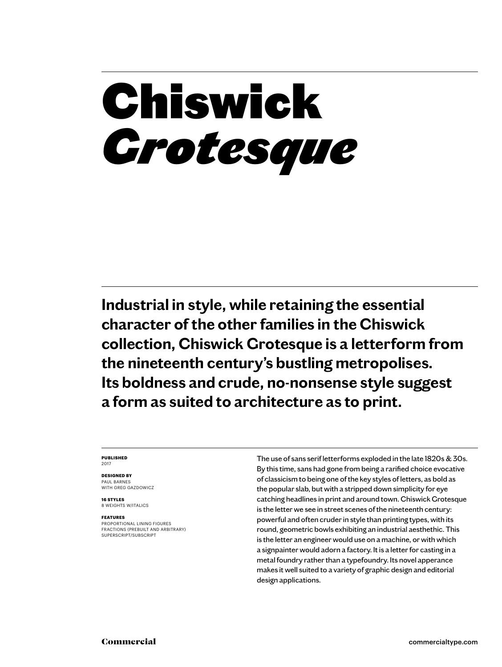## Chiswick *Grotesque*

**Industrial in style, while retaining the essential character of the other families in the Chiswick collection, Chiswick Grotesque is a letterform from the nineteenth century's bustling metropolises. Its boldness and crude, no-nonsense style suggest a form as suited to architecture as to print.**

### **PUBLISHED** 2017

**DESIGNED BY** PAUL BARNES

WITH GREG GAZDOWICZ

**16 STYLES** 8 WEIGHTS W/ITALICS

### **FEATURES**

PROPORTIONAL LINING FIGURES FRACTIONS (PREBUILT AND ARBITRARY) SUPERSCRIPT/SUBSCRIPT

The use of sans serif letterforms exploded in the late 1820s & 30s. By this time, sans had gone from being a rarified choice evocative of classicism to being one of the key styles of letters, as bold as the popular slab, but with a stripped down simplicity for eye catching headlines in print and around town. Chiswick Grotesque is the letter we see in street scenes of the nineteenth century: powerful and often cruder in style than printing types, with its round, geometric bowls exhibiting an industrial aesthethic. This is the letter an engineer would use on a machine, or with which a signpainter would adorn a factory. It is a letter for casting in a metal foundry rather than a typefoundry. Its novel apperance makes it well suited to a variety of graphic design and editorial design applications.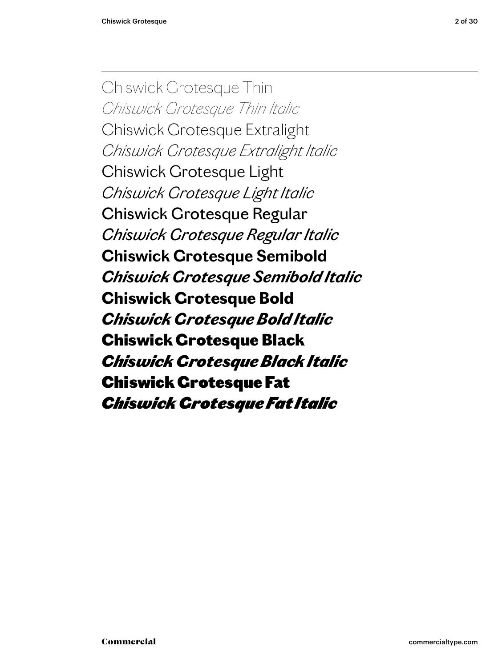Chiswick Grotesque Thin *Chiswick Grotesque Thin Italic* Chiswick Grotesque Extralight *Chiswick Grotesque Extralight Italic* Chiswick Grotesque Light *Chiswick Grotesque Light Italic* Chiswick Grotesque Regular *Chiswick Grotesque Regular Italic* **Chiswick Grotesque Semibold** *Chiswick Grotesque Semibold Italic* **Chiswick Grotesque Bold** *Chiswick Grotesque Bold Italic* Chiswick Grotesque Black *Chiswick Grotesque Black Italic* Chiswick Grotesque Fat *Chiswick Grotesque Fat Italic*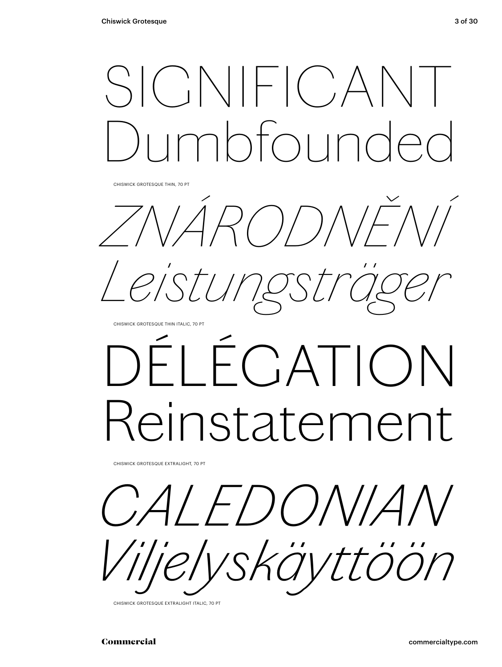SIGNIFICA  $nh$ 

*ZNÁRODNĚNÍ Leistungsträger*

CHISWICK GROTESQUE THIN ITALIC, 70 PT

# ÉCATION einstatement

CHISWICK GROTESQUE EXTRALIGHT, 70 PT

*CALEDONIAN Viljelyskäyttöön*

CHISWICK GROTESQUE EXTRALIGHT ITALIC, 70 PT

CHISWICK GROTESQUE THIN, 70 PT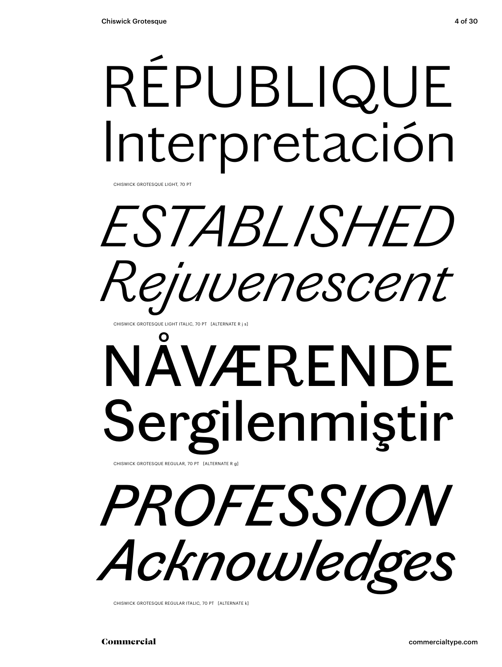# RÉPUBLIQUE Interpretación

CHISWICK GROTESQUE LIGHT, 70 PT

# *ESTABLISHED Rejuvenescent*

CHISWICK GROTESQUE LIGHT ITALIC, 70 PT [ALTERNATE R j s]

## NÅVÆRENDE Sergilenmiştir CHISWICK GROTESQUE REGULAR, 70 PT [ALTERNATE R g]

# *PROFESSION Acknowledges*

CHISWICK GROTESQUE REGULAR ITALIC, 70 PT [ALTERNATE k]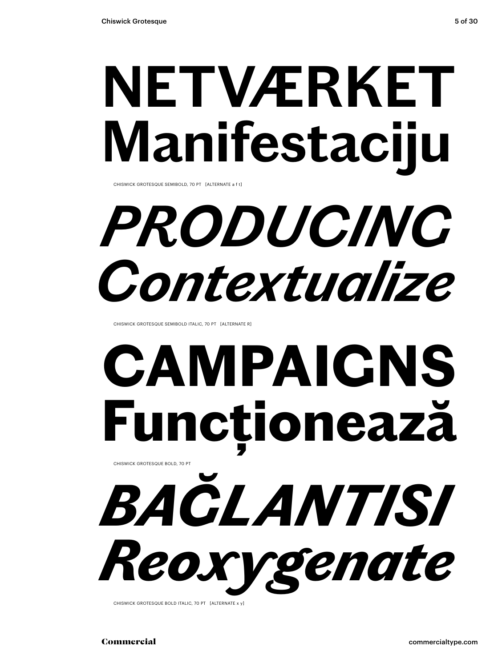## **NETVÆRKET Manifestaciju**

CHISWICK GROTESQUE SEMIBOLD, 70 PT [ALTERNATE a f t]

## *PRODUCING Contextualize*

CHISWICK GROTESQUE SEMIBOLD ITALIC, 70 PT [ALTERNATE R]

## **CAMPAIGNS Funcționează** CHISWICK GROTESQUE BOLD, 70 PT

*BAĞLANTISI* 

*Reoxygenate* CHISWICK GROTESQUE BOLD ITALIC, 70 PT [ALTERNATE x v]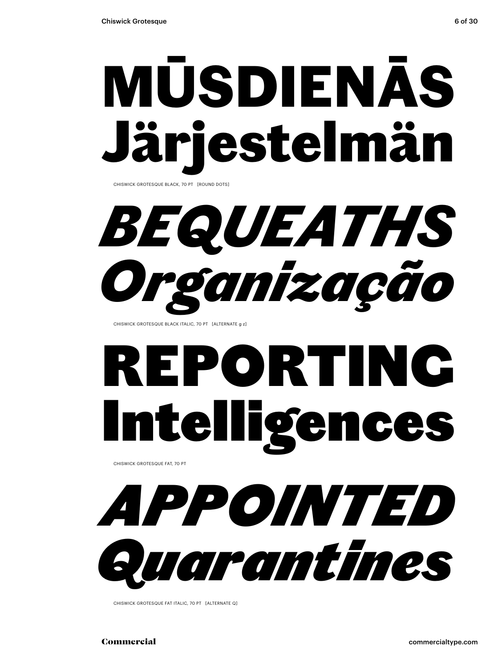# MŪSDIENĀS iestelmän

CHISWICK GROTESQUE BLACK, 70 PT [ROUND DOTS]

*BEQUEATHS Organização*

CHISWICK GROTESQUE BLACK ITALIC, 70 PT [ALTERNATE g z]

# REPORTING Intelligences

CHISWICK GROTESQUE FAT, 70 PT

*APPOINTED Quarantines*

CHISWICK GROTESQUE FAT ITALIC, 70 PT [ALTERNATE Q]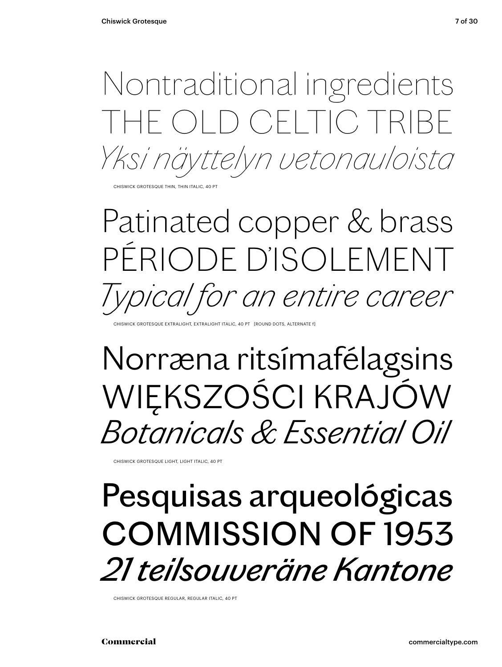Nontraditional ingredients THE OLD CELTIC TRIBE *Yksi näyttelyn vetonauloista*

CHISWICK GROTESQUE THIN, THIN ITALIC, 40 PT

### Patinated copper & brass PÉRIODE D'ISOLEMENT *Typical for an entire career*

CHISWICK GROTESQUE EXTRALIGHT, EXTRALIGHT ITALIC, 40 PT [ROUND DOTS, ALTERNATE f]

### Norræna ritsímafélagsins WIĘKSZOŚCI KRAJÓW *Botanicals & Essential Oil*

CHISWICK GROTESQUE LIGHT, LIGHT ITALIC, 40 PT

### Pesquisas arqueológicas COMMISSION OF 1953 *21 teilsouveräne Kantone*

CHISWICK GROTESQUE REGULAR, REGULAR ITALIC, 40 PT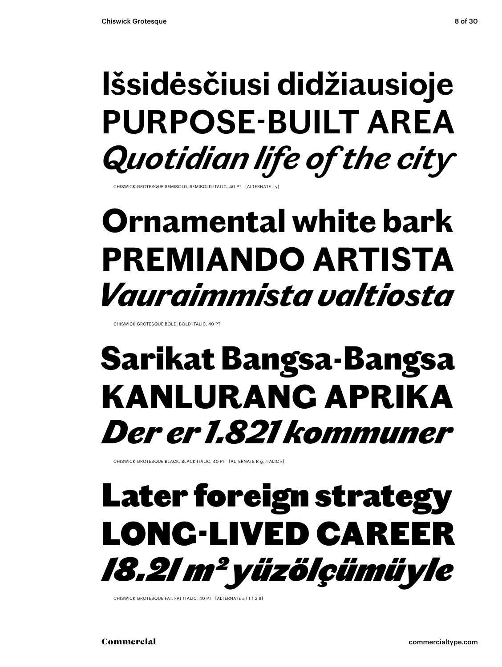### **Išsidėsčiusi didžiausioje PURPOSE-BUILT AREA** *Quotidian life of the city*

CHISWICK GROTESQUE SEMIBOLD, SEMIBOLD ITALIC, 40 PT

### **Ornamental white bark PREMIANDO ARTISTA** *Vauraimmista valtiosta*

CHISWICK GROTESQUE BOLD, BOLD ITALIC, 40 PT

### Sarikat Bangsa-Bangsa KANLURANG APRIKA *Der er 1.821 kommuner*

CHISWICK GROTESQUE BLACK, BLACK ITALIC, 40 PT [ALTERNATE R g, ITALIC k]

### Later foreign strategy LONG-LIVED CAREER *18.21 m2 yüzölçümüyle*

CHISWICK GROTESQUE FAT, FAT ITALIC, 40 PT [ALTERNATE a f t 1 2 8]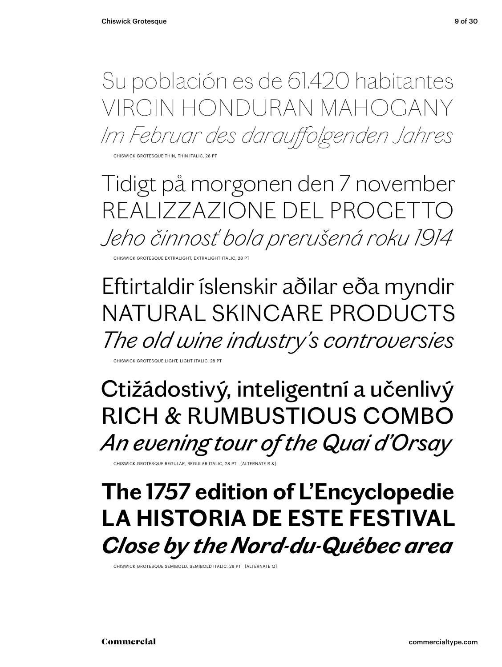Su población es de 61.420 habitantes VIRGIN HONDURAN MAHOGANY *Im Februar des darauffolgenden Jahres*

CHISWICK GROTESQUE THIN, THIN ITALIC, 28 PT

Tidigt på morgonen den 7 november REALIZZAZIONE DEL PROGETT *Jeho činnosť bola prerušená roku 1914*

CHISWICK GROTESQUE EXTRALIGHT, EXTRALIGHT ITALIC, 28

### Eftirtaldir íslenskir aðilar eða myndir NATURAL SKINCARE PRODUCTS *The old wine industry's controversies*

CHISWICK GROTESQUE LIGHT, LIGHT ITALIC, 28

Ctižádostivý, inteligentní a učenlivý RICH & RUMBUSTIOUS COMBO *An evening tour of the Quai d'Orsay*

CHISWICK GROTESQUE REGULAR, REGULAR ITALIC, 28 PT [ALTERNATE R &

### **The 1757 edition of L'Encyclopedie LA HISTORIA DE ESTE FESTIVAL** *Close by the Nord-du-Québec area*

CHISWICK GROTESQUE SEMIBOLD, SEMIBOLD ITALIC, 28 PT [ALTERNATE Q]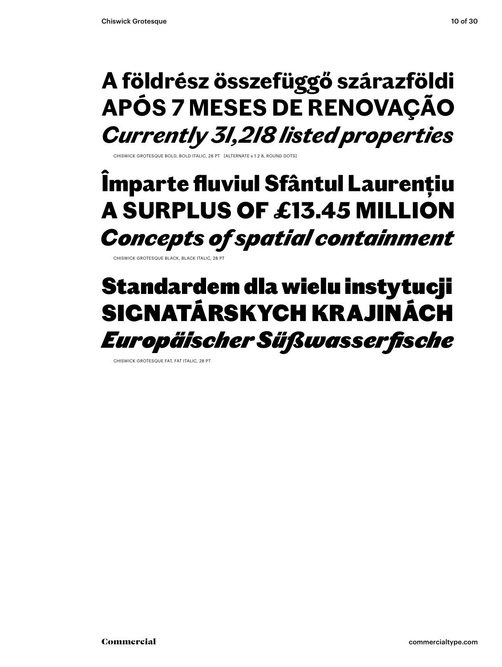### **A földrész összefüggő szárazföldi APÓS 7 MESES DE RENOVAÇÃO** *Currently 31,218 listed properties*

CHISWICK GROTESQUE BOLD, BOLD ITALIC, 28 PT [ALTERNATE s 1 2 8, ROUND DOTS]

### Împarte fluviul Sfântul Laurențiu A SURPLUS OF £13.45 MILLION *Concepts of spatial containment*

CHISWICK GROTESQUE BLACK, BLACK ITALIC, 28

### Standardem dla wielu instytucji SIGNATÁRSKYCH KRAJINÁCH *Europäischer Süßwasserfische*

CHISWICK GROTESQUE FAT, FAT ITALIC, 28 PT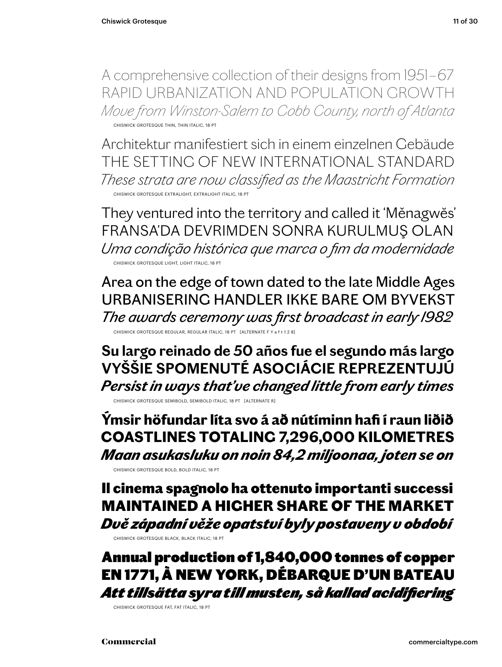A comprehensive collection of their designs from 1951 – 67 RAPID URBANIZATION AND POPULATION GROWTH *Move from Winston-Salem to Cobb County, north of Atlanta* CHISWICK GROTESQUE THIN, THIN ITALIC, 18 PT

Architektur manifestiert sich in einem einzelnen Gebäude THE SETTING OF NEW INTERNATIONAL STANDARD *These strata are now classified as the Maastricht Formation* CHISWICK GROTESQUE EXTRALIGHT, EXTRALIGHT ITALIC, 18 PT

They ventured into the territory and called it 'Měnagwĕs' FRANSA'DA DEVRIMDEN SONRA KURULMUŞ OLAN *Uma condição histórica que marca o fim da modernidade* CHISWICK GROTESQUE LIGHT, LIGHT ITALIC, 18 PT

Area on the edge of town dated to the late Middle Ages URBANISERING HANDLER IKKE BARE OM BYVEKST *The awards ceremony was first broadcast in early 1982* CHISWICK GROTESQUE REGULAR, REGULAR ITALIC, 18 PT [ALTERNATE F Y a f t 1 2 8]

**Su largo reinado de 50 años fue el segundo más largo VYŠŠIE SPOMENUTÉ ASOCIÁCIE REPREZENTUJÚ** *Persist in ways that've changed little from early times*

CHISWICK GROTESQUE SEMIBOLD, SEMIBOLD ITALIC, 18 PT [ALTERNATE R]

**Ýmsir höfundar líta svo á að nútíminn hafi í raun liðið COASTLINES TOTALING 7,296,000 KILOMETRES** *Maan asukasluku on noin 84,2 miljoonaa, joten se on*

CHISWICK GROTESQUE BOLD, BOLD ITALIC, 18 PT

Il cinema spagnolo ha ottenuto importanti successi MAINTAINED A HIGHER SHARE OF THE MARKET *Dvě západní věže opatství byly postaveny v období*

CHISWICK GROTESQUE BLACK, BLACK ITALIC, 18 PT

Annual production of 1,840,000 tonnes of copper EN 1771, À NEW YORK, DÉBARQUE D'UN BATEAU *Att tillsätta syra till musten, så kallad acidifiering*

CHISWICK GROTESQUE FAT, FAT ITALIC, 18 PT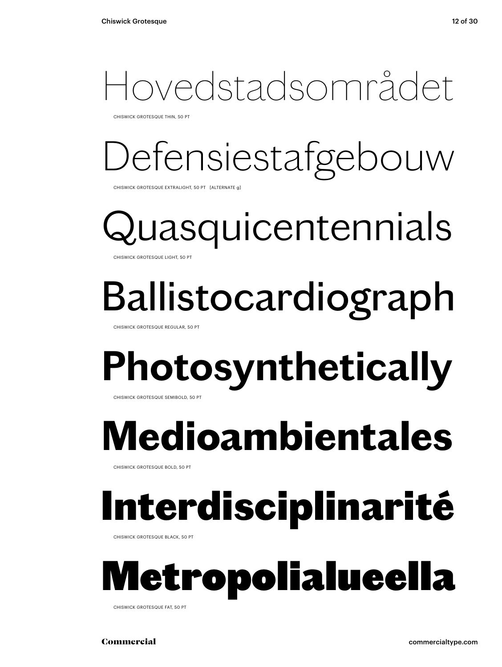### Hovedstadsområdet

CHISWICK GROTESQUE THIN, 50 PT

## Defensiestafgebouw

CHISWICK GROTESQUE EXTRALIGHT, 50 PT [ALTERNATE g]

uasquicentennials CHISWICK GROTESQUE LIGHT, 50 PT

## Ballistocardiograph

CHISWICK GROTESQUE REGULAR, 50 PT

## **Photosynthetically**

CHISWICK GROTESQUE SEMIBOLD, 50 PT

## **Medioambientales**

CHISWICK GROTESQUE BOLD, 50 PT

## Interdisciplinarité

CHISWICK GROTESQUE BLACK, 50 PT



CHISWICK GROTESQUE FAT, 50 PT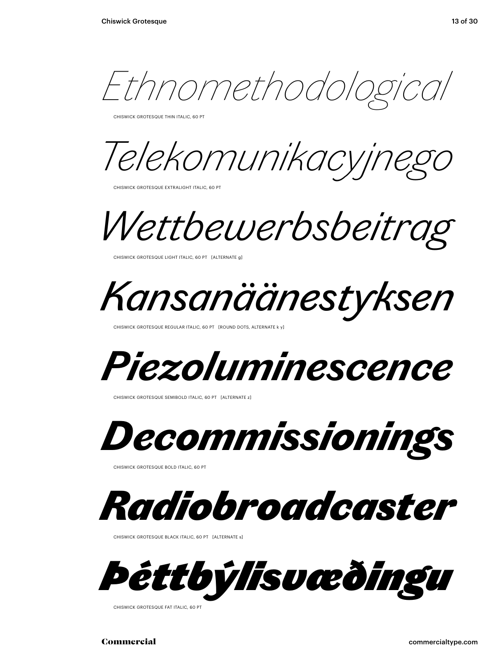*Ethnomethodological*

CHISWICK GROTESQUE THIN ITALIC, 60 PT

*Telekomunikacyjnego* 

CHISWICK GROTESQUE EXTRALIGHT ITALIC, 60 PT

*Wettbewerbsbeitrag*

CHISWICK GROTESQUE LIGHT ITALIC, 60 PT [ALTERNATE g]

*Kansanäänestyksen*

CHISWICK GROTESQUE REGULAR ITALIC, 60 PT [ROUND DOTS, ALTERNATE k y]



CHISWICK GROTESQUE SEMIBOLD ITALIC, 60 PT [ALTERNATE z]



CHISWICK GROTESQUE BOLD ITALIC, 60 PT



CHISWICK GROTESQUE BLACK ITALIC, 60 PT [ALTERNATE s]



CHISWICK GROTESQUE FAT ITALIC, 60 PT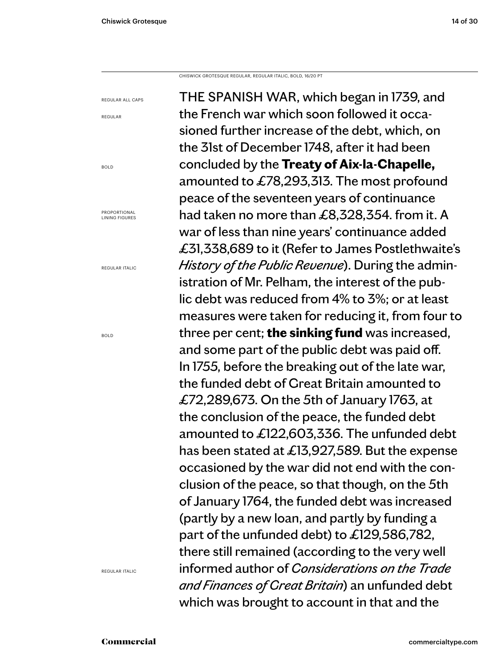CHISWICK GROTESQUE REGULAR, REGULAR ITALIC, BOLD, 16/20 PT

REGULAR ALL CAPS

REGULAR

BOLD

PROPORTIONAL LINING FIGURES

REGULAR ITALIC

BOLD

REGULAR ITALIC

THE SPANISH WAR, which began in 1739, and the French war which soon followed it occasioned further increase of the debt, which, on the 31st of December 1748, after it had been concluded by the **Treaty of Aix-la-Chapelle,**  amounted to £78,293,313. The most profound peace of the seventeen years of continuance had taken no more than £8,328,354. from it. A war of less than nine years' continuance added £31,338,689 to it (Refer to James Postlethwaite's *History of the Public Revenue*). During the administration of Mr. Pelham, the interest of the public debt was reduced from 4% to 3%; or at least measures were taken for reducing it, from four to three per cent; **the sinking fund** was increased, and some part of the public debt was paid off. In 1755, before the breaking out of the late war, the funded debt of Great Britain amounted to £72,289,673. On the 5th of January 1763, at the conclusion of the peace, the funded debt amounted to £122,603,336. The unfunded debt has been stated at £13,927,589. But the expense occasioned by the war did not end with the conclusion of the peace, so that though, on the 5th of January 1764, the funded debt was increased (partly by a new loan, and partly by funding a part of the unfunded debt) to £129,586,782, there still remained (according to the very well informed author of *Considerations on the Trade and Finances of Great Britain*) an unfunded debt which was brought to account in that and the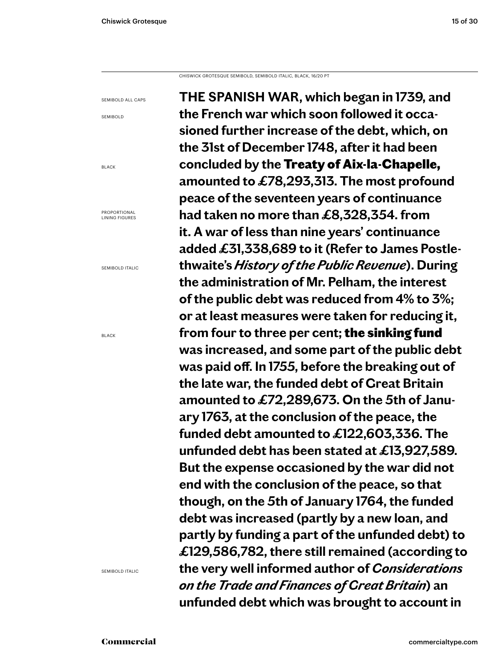CHISWICK GROTESQUE SEMIBOLD, SEMIBOLD ITALIC, BLACK, 16/20 PT

SEMIBOLD ALL CAPS

SEMIBOLD

BLACK

PROPORTIONAL LINING FIGURES

SEMIBOLD ITALIC

BLACK

SEMIBOLD ITALIC

**THE SPANISH WAR, which began in 1739, and the French war which soon followed it occasioned further increase of the debt, which, on the 31st of December 1748, after it had been concluded by the** Treaty of Aix-la-Chapelle, **amounted to £78,293,313. The most profound peace of the seventeen years of continuance had taken no more than £8,328,354. from it. A war of less than nine years' continuance added £31,338,689 to it (Refer to James Postlethwaite's** *History of the Public Revenue***). During the administration of Mr. Pelham, the interest of the public debt was reduced from 4% to 3%; or at least measures were taken for reducing it, from four to three per cent;** the sinking fund **was increased, and some part of the public debt was paid off. In 1755, before the breaking out of the late war, the funded debt of Great Britain amounted to £72,289,673. On the 5th of January 1763, at the conclusion of the peace, the funded debt amounted to £122,603,336. The unfunded debt has been stated at £13,927,589. But the expense occasioned by the war did not end with the conclusion of the peace, so that though, on the 5th of January 1764, the funded debt was increased (partly by a new loan, and partly by funding a part of the unfunded debt) to £129,586,782, there still remained (according to the very well informed author of** *Considerations on the Trade and Finances of Great Britain***) an unfunded debt which was brought to account in**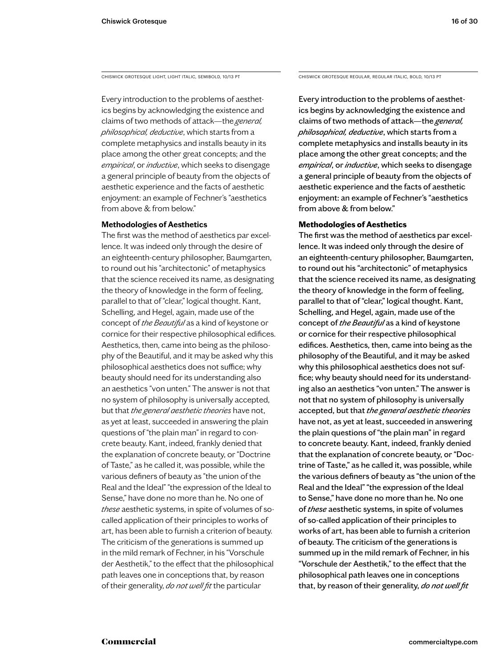Every introduction to the problems of aesthetics begins by acknowledging the existence and claims of two methods of attack—the *general, philosophical, deductive*, which starts from a complete metaphysics and installs beauty in its place among the other great concepts; and the *empirical*, or *inductive*, which seeks to disengage a general principle of beauty from the objects of aesthetic experience and the facts of aesthetic enjoyment: an example of Fechner's "aesthetics from above & from below."

### **Methodologies of Aesthetics**

The first was the method of aesthetics par excellence. It was indeed only through the desire of an eighteenth-century philosopher, Baumgarten, to round out his "architectonic" of metaphysics that the science received its name, as designating the theory of knowledge in the form of feeling, parallel to that of "clear," logical thought. Kant, Schelling, and Hegel, again, made use of the concept of *the Beautiful* as a kind of keystone or cornice for their respective philosophical edifices. Aesthetics, then, came into being as the philosophy of the Beautiful, and it may be asked why this philosophical aesthetics does not suffice; why beauty should need for its understanding also an aesthetics "von unten." The answer is not that no system of philosophy is universally accepted, but that *the general aesthetic theories* have not, as yet at least, succeeded in answering the plain questions of "the plain man" in regard to concrete beauty. Kant, indeed, frankly denied that the explanation of concrete beauty, or "Doctrine of Taste," as he called it, was possible, while the various definers of beauty as "the union of the Real and the Ideal" "the expression of the Ideal to Sense," have done no more than he. No one of *these* aesthetic systems, in spite of volumes of socalled application of their principles to works of art, has been able to furnish a criterion of beauty. The criticism of the generations is summed up in the mild remark of Fechner, in his "Vorschule der Aesthetik," to the effect that the philosophical path leaves one in conceptions that, by reason of their generality, *do not well fit* the particular

CHISWICK GROTESQUE LIGHT, LIGHT ITALIC, SEMIBOLD, 10/13 PT CHISWICK GROTESQUE REGULAR, REGULAR ITALIC, BOLD, 10/13 PT

Every introduction to the problems of aesthetics begins by acknowledging the existence and claims of two methods of attack—the *general, philosophical, deductive*, which starts from a complete metaphysics and installs beauty in its place among the other great concepts; and the *empirical*, or *inductive*, which seeks to disengage a general principle of beauty from the objects of aesthetic experience and the facts of aesthetic enjoyment: an example of Fechner's "aesthetics from above & from below."

### **Methodologies of Aesthetics**

The first was the method of aesthetics par excellence. It was indeed only through the desire of an eighteenth-century philosopher, Baumgarten, to round out his "architectonic" of metaphysics that the science received its name, as designating the theory of knowledge in the form of feeling, parallel to that of "clear," logical thought. Kant, Schelling, and Hegel, again, made use of the concept of *the Beautiful* as a kind of keystone or cornice for their respective philosophical edifices. Aesthetics, then, came into being as the philosophy of the Beautiful, and it may be asked why this philosophical aesthetics does not suffice; why beauty should need for its understanding also an aesthetics "von unten." The answer is not that no system of philosophy is universally accepted, but that *the general aesthetic theories*  have not, as yet at least, succeeded in answering the plain questions of "the plain man" in regard to concrete beauty. Kant, indeed, frankly denied that the explanation of concrete beauty, or "Doctrine of Taste," as he called it, was possible, while the various definers of beauty as "the union of the Real and the Ideal" "the expression of the Ideal to Sense," have done no more than he. No one of *these* aesthetic systems, in spite of volumes of so-called application of their principles to works of art, has been able to furnish a criterion of beauty. The criticism of the generations is summed up in the mild remark of Fechner, in his "Vorschule der Aesthetik," to the effect that the philosophical path leaves one in conceptions that, by reason of their generality, *do not well fit*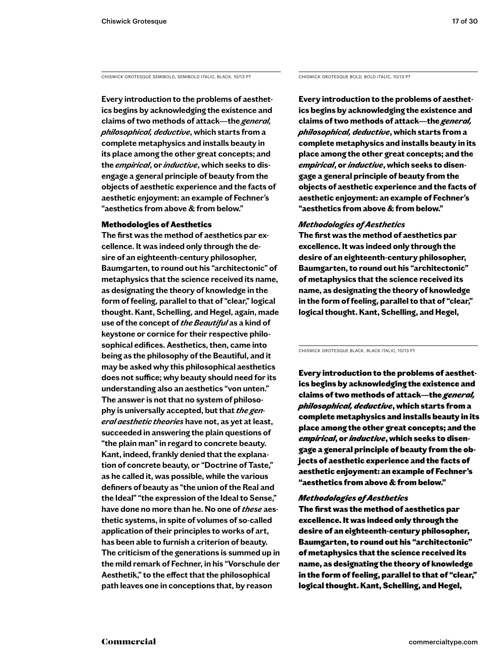CHISWICK GROTESQUE SEMIBOLD, SEMIBOLD ITALIC, BLACK, 10/13 PT

**Every introduction to the problems of aesthetics begins by acknowledging the existence and claims of two methods of attack—the** *general, philosophical, deductive***, which starts from a complete metaphysics and installs beauty in its place among the other great concepts; and the** *empirical***, or** *inductive***, which seeks to disengage a general principle of beauty from the objects of aesthetic experience and the facts of aesthetic enjoyment: an example of Fechner's "aesthetics from above & from below."** 

### Methodologies of Aesthetics

**The first was the method of aesthetics par excellence. It was indeed only through the desire of an eighteenth-century philosopher, Baumgarten, to round out his "architectonic" of metaphysics that the science received its name, as designating the theory of knowledge in the form of feeling, parallel to that of "clear," logical thought. Kant, Schelling, and Hegel, again, made use of the concept of** *the Beautiful* **as a kind of keystone or cornice for their respective philosophical edifices. Aesthetics, then, came into being as the philosophy of the Beautiful, and it may be asked why this philosophical aesthetics does not suffice; why beauty should need for its understanding also an aesthetics "von unten." The answer is not that no system of philosophy is universally accepted, but that** *the general aesthetic theories* **have not, as yet at least, succeeded in answering the plain questions of "the plain man" in regard to concrete beauty. Kant, indeed, frankly denied that the explanation of concrete beauty, or "Doctrine of Taste," as he called it, was possible, while the various definers of beauty as "the union of the Real and the Ideal" "the expression of the Ideal to Sense," have done no more than he. No one of** *these* **aesthetic systems, in spite of volumes of so-called application of their principles to works of art, has been able to furnish a criterion of beauty. The criticism of the generations is summed up in the mild remark of Fechner, in his "Vorschule der Aesthetik," to the effect that the philosophical path leaves one in conceptions that, by reason** 

CHISWICK GROTESQUE BOLD, BOLD ITALIC, 10/13 PT

**Every introduction to the problems of aesthetics begins by acknowledging the existence and claims of two methods of attack—the** *general, philosophical, deductive***, which starts from a complete metaphysics and installs beauty in its place among the other great concepts; and the**  *empirical***, or** *inductive***, which seeks to disengage a general principle of beauty from the objects of aesthetic experience and the facts of aesthetic enjoyment: an example of Fechner's "aesthetics from above & from below."** 

### *Methodologies of Aesthetics*

**The first was the method of aesthetics par excellence. It was indeed only through the desire of an eighteenth-century philosopher, Baumgarten, to round out his "architectonic" of metaphysics that the science received its name, as designating the theory of knowledge in the form of feeling, parallel to that of "clear," logical thought. Kant, Schelling, and Hegel,** 

CHISWICK GROTESQUE BLACK, BLACK ITALIC, 10/13 PT

Every introduction to the problems of aesthetics begins by acknowledging the existence and claims of two methods of attack—the *general, philosophical, deductive*, which starts from a complete metaphysics and installs beauty in its place among the other great concepts; and the *empirical*, or *inductive*, which seeks to disengage a general principle of beauty from the objects of aesthetic experience and the facts of aesthetic enjoyment: an example of Fechner's "aesthetics from above & from below."

### *Methodologies of Aesthetics*

The first was the method of aesthetics par excellence. It was indeed only through the desire of an eighteenth-century philosopher, Baumgarten, to round out his "architectonic" of metaphysics that the science received its name, as designating the theory of knowledge in the form of feeling, parallel to that of "clear," logical thought. Kant, Schelling, and Hegel,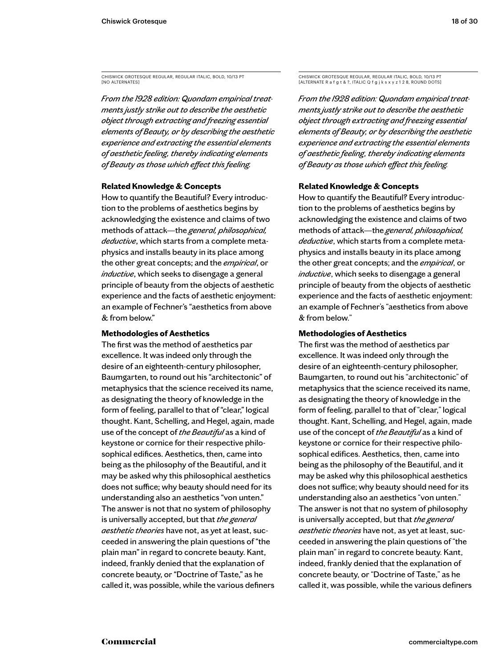CHISWICK GROTESQUE REGULAR, REGULAR ITALIC, BOLD, 10/13 PT [NO ALTERNATES]

*From the 1928 edition: Quondam empirical treatments justly strike out to describe the aesthetic object through extracting and freezing essential elements of Beauty, or by describing the aesthetic experience and extracting the essential elements of aesthetic feeling, thereby indicating elements of Beauty as those which effect this feeling.*

### **Related Knowledge & Concepts**

How to quantify the Beautiful? Every introduction to the problems of aesthetics begins by acknowledging the existence and claims of two methods of attack—the *general, philosophical, deductive*, which starts from a complete metaphysics and installs beauty in its place among the other great concepts; and the *empirical*, or *inductive*, which seeks to disengage a general principle of beauty from the objects of aesthetic experience and the facts of aesthetic enjoyment: an example of Fechner's "aesthetics from above & from below."

### **Methodologies of Aesthetics**

The first was the method of aesthetics par excellence. It was indeed only through the desire of an eighteenth-century philosopher, Baumgarten, to round out his "architectonic" of metaphysics that the science received its name, as designating the theory of knowledge in the form of feeling, parallel to that of "clear," logical thought. Kant, Schelling, and Hegel, again, made use of the concept of *the Beautiful* as a kind of keystone or cornice for their respective philosophical edifices. Aesthetics, then, came into being as the philosophy of the Beautiful, and it may be asked why this philosophical aesthetics does not suffice; why beauty should need for its understanding also an aesthetics "von unten." The answer is not that no system of philosophy is universally accepted, but that *the general aesthetic theories* have not, as yet at least, succeeded in answering the plain questions of "the plain man" in regard to concrete beauty. Kant, indeed, frankly denied that the explanation of concrete beauty, or "Doctrine of Taste," as he called it, was possible, while the various definers

CHISWICK GROTESQUE REGULAR, REGULAR ITALIC, BOLD, 10/13 PT [ALTERNATE R a f g t & ?, ITALIC Q f g j k s x y z 1 2 8, ROUND DOTS]

*From the 1928 edition: Quondam empirical treatments justly strike out to describe the aesthetic object through extracting and freezing essential elements of Beauty, or by describing the aesthetic experience and extracting the essential elements of aesthetic feeling, thereby indicating elements of Beauty as those which effect this feeling.*

### **Related Knowledge & Concepts**

How to quantify the Beautiful? Every introduction to the problems of aesthetics begins by acknowledging the existence and claims of two methods of attack—the *general, philosophical, deductive*, which starts from a complete metaphysics and installs beauty in its place among the other great concepts; and the *empirical*, or *inductive*, which seeks to disengage a general principle of beauty from the objects of aesthetic experience and the facts of aesthetic enjoyment: an example of Fechner's "aesthetics from above & from below."

### **Methodologies of Aesthetics**

The first was the method of aesthetics par excellence. It was indeed only through the desire of an eighteenth-century philosopher, Baumgarten, to round out his "architectonic" of metaphysics that the science received its name, as designating the theory of knowledge in the form of feeling, parallel to that of "clear," logical thought. Kant, Schelling, and Hegel, again, made use of the concept of *the Beautiful* as a kind of keystone or cornice for their respective philosophical edifices. Aesthetics, then, came into being as the philosophy of the Beautiful, and it may be asked why this philosophical aesthetics does not suffice; why beauty should need for its understanding also an aesthetics "von unten." The answer is not that no system of philosophy is universally accepted, but that *the general aesthetic theories* have not, as yet at least, succeeded in answering the plain questions of "the plain man" in regard to concrete beauty. Kant, indeed, frankly denied that the explanation of concrete beauty, or "Doctrine of Taste," as he called it, was possible, while the various definers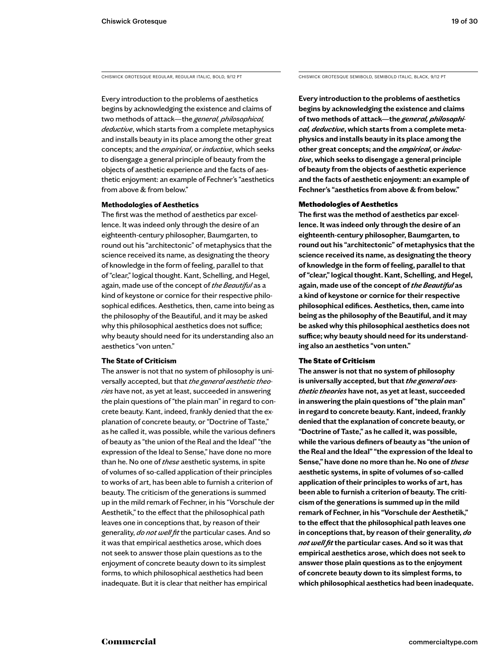Every introduction to the problems of aesthetics begins by acknowledging the existence and claims of two methods of attack—the *general, philosophical, deductive*, which starts from a complete metaphysics and installs beauty in its place among the other great concepts; and the *empirical*, or *inductive*, which seeks to disengage a general principle of beauty from the objects of aesthetic experience and the facts of aesthetic enjoyment: an example of Fechner's "aesthetics from above & from below."

### **Methodologies of Aesthetics**

The first was the method of aesthetics par excellence. It was indeed only through the desire of an eighteenth-century philosopher, Baumgarten, to round out his "architectonic" of metaphysics that the science received its name, as designating the theory of knowledge in the form of feeling, parallel to that of "clear," logical thought. Kant, Schelling, and Hegel, again, made use of the concept of *the Beautiful* as a kind of keystone or cornice for their respective philosophical edifices. Aesthetics, then, came into being as the philosophy of the Beautiful, and it may be asked why this philosophical aesthetics does not suffice; why beauty should need for its understanding also an aesthetics "von unten."

### **The State of Criticism**

The answer is not that no system of philosophy is universally accepted, but that *the general aesthetic theories* have not, as yet at least, succeeded in answering the plain questions of "the plain man" in regard to concrete beauty. Kant, indeed, frankly denied that the explanation of concrete beauty, or "Doctrine of Taste," as he called it, was possible, while the various definers of beauty as "the union of the Real and the Ideal" "the expression of the Ideal to Sense," have done no more than he. No one of *these* aesthetic systems, in spite of volumes of so-called application of their principles to works of art, has been able to furnish a criterion of beauty. The criticism of the generations is summed up in the mild remark of Fechner, in his "Vorschule der Aesthetik," to the effect that the philosophical path leaves one in conceptions that, by reason of their generality, *do not well fit* the particular cases. And so it was that empirical aesthetics arose, which does not seek to answer those plain questions as to the enjoyment of concrete beauty down to its simplest forms, to which philosophical aesthetics had been inadequate. But it is clear that neither has empirical

CHISWICK GROTESQUE REGULAR, REGULAR ITALIC, BOLD, 9/12 PT CHISWICK GROTESQUE SEMIBOLD, SEMIBOLD ITALIC, BLACK, 9/12 PT

**Every introduction to the problems of aesthetics begins by acknowledging the existence and claims of two methods of attack—the** *general, philosophical, deductive***, which starts from a complete metaphysics and installs beauty in its place among the other great concepts; and the** *empirical***, or** *inductive***, which seeks to disengage a general principle of beauty from the objects of aesthetic experience and the facts of aesthetic enjoyment: an example of Fechner's "aesthetics from above & from below."** 

### Methodologies of Aesthetics

**The first was the method of aesthetics par excellence. It was indeed only through the desire of an eighteenth-century philosopher, Baumgarten, to round out his "architectonic" of metaphysics that the science received its name, as designating the theory of knowledge in the form of feeling, parallel to that of "clear," logical thought. Kant, Schelling, and Hegel, again, made use of the concept of** *the Beautiful* **as a kind of keystone or cornice for their respective philosophical edifices. Aesthetics, then, came into being as the philosophy of the Beautiful, and it may be asked why this philosophical aesthetics does not suffice; why beauty should need for its understanding also an aesthetics "von unten."** 

### The State of Criticism

**The answer is not that no system of philosophy is universally accepted, but that** *the general aesthetic theories* **have not, as yet at least, succeeded in answering the plain questions of "the plain man" in regard to concrete beauty. Kant, indeed, frankly denied that the explanation of concrete beauty, or "Doctrine of Taste," as he called it, was possible, while the various definers of beauty as "the union of the Real and the Ideal" "the expression of the Ideal to Sense," have done no more than he. No one of** *these* **aesthetic systems, in spite of volumes of so-called application of their principles to works of art, has been able to furnish a criterion of beauty. The criticism of the generations is summed up in the mild remark of Fechner, in his "Vorschule der Aesthetik," to the effect that the philosophical path leaves one in conceptions that, by reason of their generality,** *do not well fit* **the particular cases. And so it was that empirical aesthetics arose, which does not seek to answer those plain questions as to the enjoyment of concrete beauty down to its simplest forms, to which philosophical aesthetics had been inadequate.**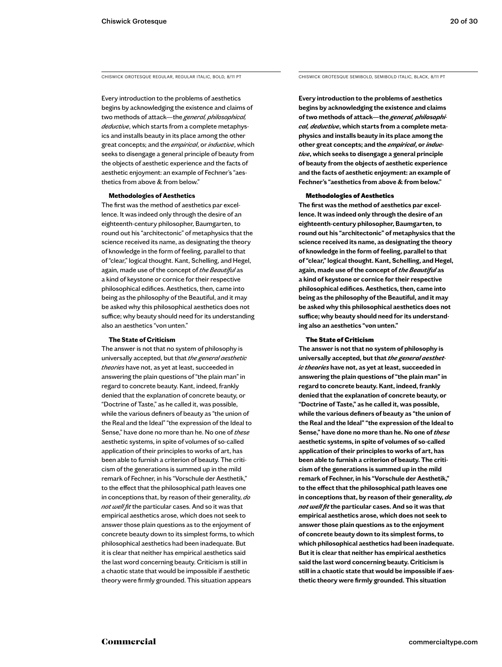Every introduction to the problems of aesthetics begins by acknowledging the existence and claims of two methods of attack—the *general, philosophical, deductive*, which starts from a complete metaphysics and installs beauty in its place among the other great concepts; and the *empirical*, or *inductive*, which seeks to disengage a general principle of beauty from the objects of aesthetic experience and the facts of aesthetic enjoyment: an example of Fechner's "aesthetics from above & from below."

### **Methodologies of Aesthetics**

The first was the method of aesthetics par excellence. It was indeed only through the desire of an eighteenth-century philosopher, Baumgarten, to round out his "architectonic" of metaphysics that the science received its name, as designating the theory of knowledge in the form of feeling, parallel to that of "clear," logical thought. Kant, Schelling, and Hegel, again, made use of the concept of *the Beautiful* as a kind of keystone or cornice for their respective philosophical edifices. Aesthetics, then, came into being as the philosophy of the Beautiful, and it may be asked why this philosophical aesthetics does not suffice; why beauty should need for its understanding also an aesthetics "von unten."

### **The State of Criticism**

The answer is not that no system of philosophy is universally accepted, but that *the general aesthetic theories* have not, as yet at least, succeeded in answering the plain questions of "the plain man" in regard to concrete beauty. Kant, indeed, frankly denied that the explanation of concrete beauty, or "Doctrine of Taste," as he called it, was possible, while the various definers of beauty as "the union of the Real and the Ideal" "the expression of the Ideal to Sense," have done no more than he. No one of *these* aesthetic systems, in spite of volumes of so-called application of their principles to works of art, has been able to furnish a criterion of beauty. The criticism of the generations is summed up in the mild remark of Fechner, in his "Vorschule der Aesthetik," to the effect that the philosophical path leaves one in conceptions that, by reason of their generality, *do not well fit* the particular cases. And so it was that empirical aesthetics arose, which does not seek to answer those plain questions as to the enjoyment of concrete beauty down to its simplest forms, to which philosophical aesthetics had been inadequate. But it is clear that neither has empirical aesthetics said the last word concerning beauty. Criticism is still in a chaotic state that would be impossible if aesthetic theory were firmly grounded. This situation appears

CHISWICK GROTESQUE REGULAR, REGULAR ITALIC, BOLD, 8/11 PT CHISWICK GROTESQUE SEMIBOLD, SEMIBOLD ITALIC, BLACK, 8/11 PT

**Every introduction to the problems of aesthetics begins by acknowledging the existence and claims of two methods of attack—the** *general, philosophical, deductive***, which starts from a complete metaphysics and installs beauty in its place among the other great concepts; and the** *empirical***, or** *inductive***, which seeks to disengage a general principle of beauty from the objects of aesthetic experience and the facts of aesthetic enjoyment: an example of Fechner's "aesthetics from above & from below."** 

### Methodologies of Aesthetics

**The first was the method of aesthetics par excellence. It was indeed only through the desire of an eighteenth-century philosopher, Baumgarten, to round out his "architectonic" of metaphysics that the science received its name, as designating the theory of knowledge in the form of feeling, parallel to that of "clear," logical thought. Kant, Schelling, and Hegel, again, made use of the concept of** *the Beautiful* **as a kind of keystone or cornice for their respective philosophical edifices. Aesthetics, then, came into being as the philosophy of the Beautiful, and it may be asked why this philosophical aesthetics does not suffice; why beauty should need for its understanding also an aesthetics "von unten."** 

### The State of Criticism

**The answer is not that no system of philosophy is universally accepted, but that** *the general aesthetic theories* **have not, as yet at least, succeeded in answering the plain questions of "the plain man" in regard to concrete beauty. Kant, indeed, frankly denied that the explanation of concrete beauty, or "Doctrine of Taste," as he called it, was possible, while the various definers of beauty as "the union of the Real and the Ideal" "the expression of the Ideal to Sense," have done no more than he. No one of** *these* **aesthetic systems, in spite of volumes of so-called application of their principles to works of art, has been able to furnish a criterion of beauty. The criticism of the generations is summed up in the mild remark of Fechner, in his "Vorschule der Aesthetik," to the effect that the philosophical path leaves one in conceptions that, by reason of their generality,** *do not well fit* **the particular cases. And so it was that empirical aesthetics arose, which does not seek to answer those plain questions as to the enjoyment of concrete beauty down to its simplest forms, to which philosophical aesthetics had been inadequate. But it is clear that neither has empirical aesthetics said the last word concerning beauty. Criticism is still in a chaotic state that would be impossible if aesthetic theory were firmly grounded. This situation**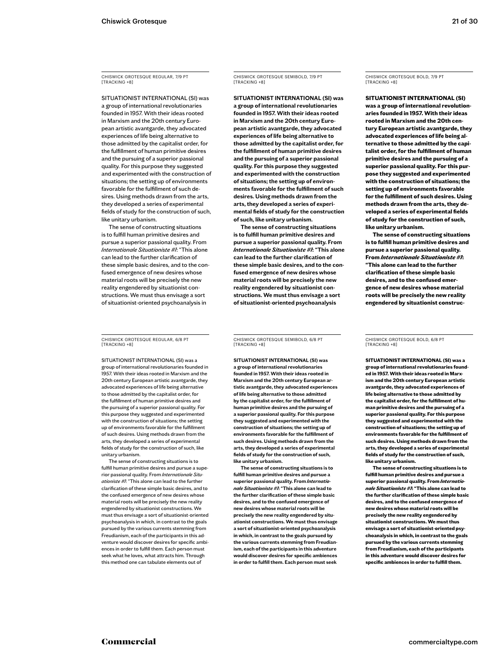CHISWICK GROTESQUE REGULAR, 7/9 PT [TRACKING +8]

SITUATIONIST INTERNATIONAL (SI) was a group of international revolutionaries founded in 1957. With their ideas rooted in Marxism and the 20th century European artistic avantgarde, they advocated experiences of life being alternative to those admitted by the capitalist order, for the fulfillment of human primitive desires and the pursuing of a superior passional quality. For this purpose they suggested and experimented with the construction of situations; the setting up of environments favorable for the fulfillment of such desires. Using methods drawn from the arts, they developed a series of experimental fields of study for the construction of such, like unitary urbanism.

The sense of constructing situations is to fulfill human primitive desires and pursue a superior passional quality. From *Internationale Situationiste #1*: "This alone can lead to the further clarification of these simple basic desires, and to the confused emergence of new desires whose material roots will be precisely the new reality engendered by situationist constructions. We must thus envisage a sort of situationist-oriented psychoanalysis in

CHISWICK GROTESQUE REGULAR, 6/8 PT [TRACKING +8]

SITUATIONIST INTERNATIONAL (SI) was a group of international revolutionaries founded in 1957. With their ideas rooted in Marxism and the 20th century European artistic avantgarde, they advocated experiences of life being alternative to those admitted by the capitalist order, for the fulfillment of human primitive desires and the pursuing of a superior passional quality. For this purpose they suggested and experimented with the construction of situations; the setting up of environments favorable for the fulfillment of such desires. Using methods drawn from the arts, they developed a series of experimental fields of study for the construction of such, like unitary urbanism.

The sense of constructing situations is to fulfill human primitive desires and pursue a superior passional quality. From *Internationale Situationiste #1*: "This alone can lead to the further clarification of these simple basic desires, and to the confused emergence of new desires whose material roots will be precisely the new reality engendered by situationist constructions. We must thus envisage a sort of situationist-oriented psychoanalysis in which, in contrast to the goals pursued by the various currents stemming from Freudianism, each of the participants in this adventure would discover desires for specific ambiences in order to fulfill them. Each person must seek what he loves, what attracts him. Through this method one can tabulate elements out of

CHISWICK GROTESQUE SEMIBOLD, 7/9 PT [TRACKING +8]

**SITUATIONIST INTERNATIONAL (SI) was a group of international revolutionaries founded in 1957. With their ideas rooted in Marxism and the 20th century European artistic avantgarde, they advocated experiences of life being alternative to those admitted by the capitalist order, for the fulfillment of human primitive desires and the pursuing of a superior passional quality. For this purpose they suggested and experimented with the construction of situations; the setting up of environments favorable for the fulfillment of such desires. Using methods drawn from the arts, they developed a series of experimental fields of study for the construction of such, like unitary urbanism.**

**The sense of constructing situations is to fulfill human primitive desires and pursue a superior passional quality. From**  *Internationale Situationiste #1***: "This alone can lead to the further clarification of these simple basic desires, and to the confused emergence of new desires whose material roots will be precisely the new reality engendered by situationist constructions. We must thus envisage a sort of situationist-oriented psychoanalysis** 

CHISWICK GROTESQUE SEMIBOLD, 6/8 PT [TRACKING +8]

**SITUATIONIST INTERNATIONAL (SI) was a group of international revolutionaries founded in 1957. With their ideas rooted in Marxism and the 20th century European artistic avantgarde, they advocated experiences of life being alternative to those admitted by the capitalist order, for the fulfillment of human primitive desires and the pursuing of a superior passional quality. For this purpose they suggested and experimented with the construction of situations; the setting up of environments favorable for the fulfillment of such desires. Using methods drawn from the arts, they developed a series of experimental fields of study for the construction of such, like unitary urbanism.**

**The sense of constructing situations is to fulfill human primitive desires and pursue a superior passional quality. From** *Internationale Situationiste #1***: "This alone can lead to the further clarification of these simple basic desires, and to the confused emergence of new desires whose material roots will be precisely the new reality engendered by situationist constructions. We must thus envisage a sort of situationist-oriented psychoanalysis in which, in contrast to the goals pursued by the various currents stemming from Freudianism, each of the participants in this adventure would discover desires for specific ambiences in order to fulfill them. Each person must seek**  CHISWICK GROTESQUE BOLD, 7/9 PT [TRACKING +8]

**SITUATIONIST INTERNATIONAL (SI) was a group of international revolutionaries founded in 1957. With their ideas rooted in Marxism and the 20th century European artistic avantgarde, they advocated experiences of life being alternative to those admitted by the capitalist order, for the fulfillment of human primitive desires and the pursuing of a superior passional quality. For this purpose they suggested and experimented with the construction of situations; the setting up of environments favorable for the fulfillment of such desires. Using methods drawn from the arts, they developed a series of experimental fields of study for the construction of such, like unitary urbanism.**

**The sense of constructing situations is to fulfill human primitive desires and pursue a superior passional quality. From** *Internationale Situationiste #1***: "This alone can lead to the further clarification of these simple basic desires, and to the confused emergence of new desires whose material roots will be precisely the new reality engendered by situationist construc-**

CHISWICK GROTESQUE BOLD, 6/8 PT [TRACKING +8]

**SITUATIONIST INTERNATIONAL (SI) was a group of international revolutionaries founded in 1957. With their ideas rooted in Marxism and the 20th century European artistic avantgarde, they advocated experiences of life being alternative to those admitted by the capitalist order, for the fulfillment of human primitive desires and the pursuing of a superior passional quality. For this purpose they suggested and experimented with the construction of situations; the setting up of environments favorable for the fulfillment of such desires. Using methods drawn from the arts, they developed a series of experimental fields of study for the construction of such, like unitary urbanism.**

**The sense of constructing situations is to fulfill human primitive desires and pursue a superior passional quality. From** *Internationale Situationiste #1***: "This alone can lead to the further clarification of these simple basic desires, and to the confused emergence of new desires whose material roots will be precisely the new reality engendered by situationist constructions. We must thus envisage a sort of situationist-oriented psychoanalysis in which, in contrast to the goals pursued by the various currents stemming from Freudianism, each of the participants in this adventure would discover desires for specific ambiences in order to fulfill them.**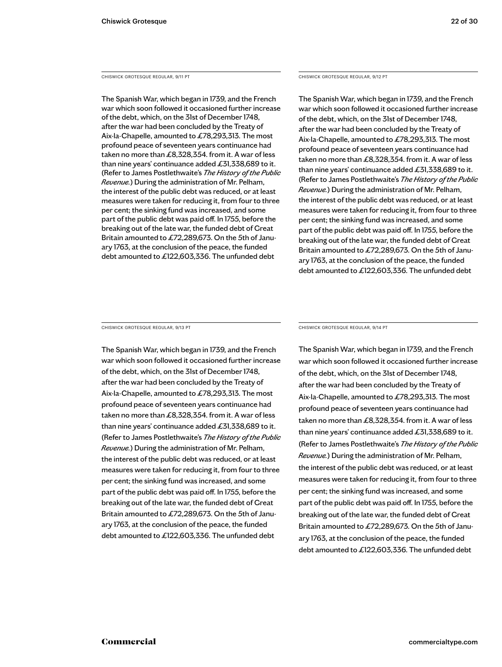CHISWICK GROTESQUE REGULAR, 9/11 PT

The Spanish War, which began in 1739, and the French war which soon followed it occasioned further increase of the debt, which, on the 31st of December 1748, after the war had been concluded by the Treaty of Aix-la-Chapelle, amounted to £78,293,313. The most profound peace of seventeen years continuance had taken no more than £8,328,354. from it. A war of less than nine years' continuance added £31,338,689 to it. (Refer to James Postlethwaite's *The History of the Public Revenue.*) During the administration of Mr. Pelham, the interest of the public debt was reduced, or at least measures were taken for reducing it, from four to three per cent; the sinking fund was increased, and some part of the public debt was paid off. In 1755, before the breaking out of the late war, the funded debt of Great Britain amounted to £72,289,673. On the 5th of January 1763, at the conclusion of the peace, the funded debt amounted to £122,603,336. The unfunded debt

CHISWICK GROTESQUE REGULAR, 9/12 PT

The Spanish War, which began in 1739, and the French war which soon followed it occasioned further increase of the debt, which, on the 31st of December 1748, after the war had been concluded by the Treaty of Aix-la-Chapelle, amounted to £78,293,313. The most profound peace of seventeen years continuance had taken no more than £8,328,354. from it. A war of less than nine years' continuance added £31,338,689 to it. (Refer to James Postlethwaite's *The History of the Public Revenue.*) During the administration of Mr. Pelham, the interest of the public debt was reduced, or at least measures were taken for reducing it, from four to three per cent; the sinking fund was increased, and some part of the public debt was paid off. In 1755, before the breaking out of the late war, the funded debt of Great Britain amounted to £72,289,673. On the 5th of January 1763, at the conclusion of the peace, the funded debt amounted to £122,603,336. The unfunded debt

CHISWICK GROTESQUE REGULAR, 9/13 PT

The Spanish War, which began in 1739, and the French war which soon followed it occasioned further increase of the debt, which, on the 31st of December 1748, after the war had been concluded by the Treaty of Aix-la-Chapelle, amounted to £78,293,313. The most profound peace of seventeen years continuance had taken no more than £8,328,354. from it. A war of less than nine years' continuance added  $£31,338,689$  to it. (Refer to James Postlethwaite's *The History of the Public Revenue.*) During the administration of Mr. Pelham, the interest of the public debt was reduced, or at least measures were taken for reducing it, from four to three per cent; the sinking fund was increased, and some part of the public debt was paid off. In 1755, before the breaking out of the late war, the funded debt of Great Britain amounted to £72,289,673. On the 5th of January 1763, at the conclusion of the peace, the funded debt amounted to £122,603,336. The unfunded debt

CHISWICK GROTESQUE REGULAR, 9/14 PT

The Spanish War, which began in 1739, and the French war which soon followed it occasioned further increase of the debt, which, on the 31st of December 1748, after the war had been concluded by the Treaty of Aix-la-Chapelle, amounted to £78,293,313. The most profound peace of seventeen years continuance had taken no more than £8,328,354. from it. A war of less than nine years' continuance added  $£31,338,689$  to it. (Refer to James Postlethwaite's *The History of the Public Revenue.*) During the administration of Mr. Pelham, the interest of the public debt was reduced, or at least measures were taken for reducing it, from four to three per cent; the sinking fund was increased, and some part of the public debt was paid off. In 1755, before the breaking out of the late war, the funded debt of Great Britain amounted to £72,289,673. On the 5th of January 1763, at the conclusion of the peace, the funded debt amounted to £122,603,336. The unfunded debt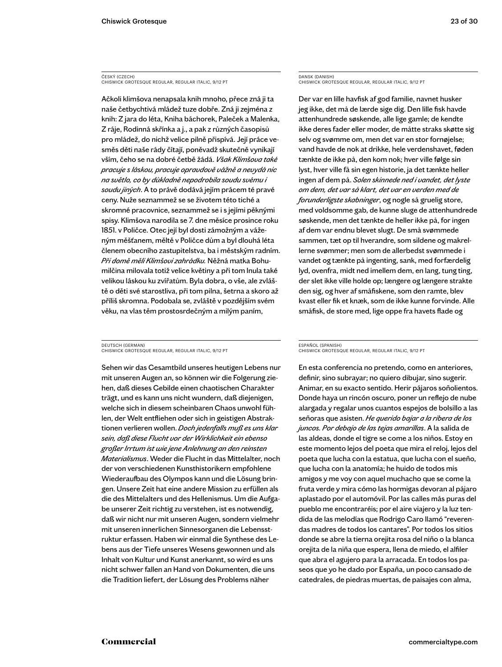### ČESKÝ (CZECH) CHISWICK GROTESQUE REGULAR, REGULAR ITALIC, 9/12 PT

Ačkoli klimšova nenapsala knih mnoho, přece zná ji ta naše četbychtivá mládež tuze dobře. Zná ji zejména z knih: Z jara do léta, Kniha báchorek, Paleček a Malenka, Z ráje, Rodinná skřínka a j., a pak z různých časopisů pro mládež, do nichž velice pilně přispívá. Její práce vesměs děti naše rády čítají, poněvadž skutečně vynikají vším, čeho se na dobré četbě žádá. *Však Klimšova také pracuje s láskou, pracuje opravdově vážně a nevydá nic na světlo, co by důkladně nepodrobila soudu svému i soudu jiných*. A to právě dodává jejím prácem té pravé ceny. Nuže seznammež se se životem této tiché a skromné pracovnice, seznammež se i s jejími pěknými spisy. Klimšova narodila se 7. dne měsíce prosince roku 1851. v Poličce. Otec její byl dosti zámožným a váženým měšťanem, měltě v Poličce dům a byl dlouhá léta členem obecního zastupitelstva, ba i městským radním. *Při domě měli Klimšovi zahrádku.* Něžná matka Bohumilčina milovala totiž velice květiny a při tom lnula také velikou láskou ku zvířatům. Byla dobra, o vše, ale zvláště o děti své starostliva, při tom pilna, šetrna a skoro až příliš skromna. Podobala se, zvláště v pozdějším svém věku, na vlas těm prostosrdečným a milým paním,

### DEUTSCH (GERMAN) CHISWICK GROTESQUE REGULAR, REGULAR ITALIC, 9/12 PT

Sehen wir das Gesamtbild unseres heutigen Lebens nur mit unseren Augen an, so können wir die Folgerung ziehen, daß dieses Gebilde einen chaotischen Charakter trägt, und es kann uns nicht wundern, daß diejenigen, welche sich in diesem scheinbaren Chaos unwohl fühlen, der Welt entfliehen oder sich in geistigen Abstraktionen verlieren wollen. *Doch jedenfalls muß es uns klar sein, daß diese Flucht vor der Wirklichkeit ein ebenso großer Irrtum ist wie jene Anlehnung an den reinsten Materialismus*. Weder die Flucht in das Mittelalter, noch der von verschiedenen Kunsthistorikern empfohlene Wiederaufbau des Olympos kann und die Lösung bringen. Unsere Zeit hat eine andere Mission zu erfüllen als die des Mittelalters und des Hellenismus. Um die Aufgabe unserer Zeit richtig zu verstehen, ist es notwendig, daß wir nicht nur mit unseren Augen, sondern vielmehr mit unseren innerlichen Sinnesorganen die Lebensstruktur erfassen. Haben wir einmal die Synthese des Lebens aus der Tiefe unseres Wesens gewonnen und als Inhalt von Kultur und Kunst anerkannt, so wird es uns nicht schwer fallen an Hand von Dokumenten, die uns die Tradition liefert, der Lösung des Problems näher

### DANSK (DANISH) CHISWICK GROTESQUE REGULAR, REGULAR ITALIC, 9/12 PT

Der var en lille havfisk af god familie, navnet husker jeg ikke, det må de lærde sige dig. Den lille fisk havde attenhundrede søskende, alle lige gamle; de kendte ikke deres fader eller moder, de måtte straks skøtte sig selv og svømme om, men det var en stor fornøjelse; vand havde de nok at drikke, hele verdenshavet, føden tænkte de ikke på, den kom nok; hver ville følge sin lyst, hver ville få sin egen historie, ja det tænkte heller ingen af dem på. *Solen skinnede ned i vandet, det lyste om dem, det var så klart, det var en verden med de forunderligste skabninger*, og nogle så gruelig store, med voldsomme gab, de kunne sluge de attenhundrede søskende, men det tænkte de heller ikke på, for ingen af dem var endnu blevet slugt. De små svømmede sammen, tæt op til hverandre, som sildene og makrellerne svømmer; men som de allerbedst svømmede i vandet og tænkte på ingenting, sank, med forfærdelig lyd, ovenfra, midt ned imellem dem, en lang, tung ting, der slet ikke ville holde op; længere og længere strakte den sig, og hver af småfiskene, som den ramte, blev kvast eller fik et knæk, som de ikke kunne forvinde. Alle småfisk, de store med, lige oppe fra havets flade og

### ESPAÑOL (SPANISH)

CHISWICK GROTESQUE REGULAR, REGULAR ITALIC, 9/12 PT

En esta conferencia no pretendo, como en anteriores, definir, sino subrayar; no quiero dibujar, sino sugerir. Animar, en su exacto sentido. Herir pájaros soñolientos. Donde haya un rincón oscuro, poner un reflejo de nube alargada y regalar unos cuantos espejos de bolsillo a las señoras que asisten. *He querido bajar a la ribera de los juncos. Por debajo de las tejas amarillas*. A la salida de las aldeas, donde el tigre se come a los niños. Estoy en este momento lejos del poeta que mira el reloj, lejos del poeta que lucha con la estatua, que lucha con el sueño, que lucha con la anatomía; he huido de todos mis amigos y me voy con aquel muchacho que se come la fruta verde y mira cómo las hormigas devoran al pájaro aplastado por el automóvil. Por las calles más puras del pueblo me encontraréis; por el aire viajero y la luz tendida de las melodías que Rodrigo Caro llamó "reverendas madres de todos los cantares". Por todos los sitios donde se abre la tierna orejita rosa del niño o la blanca orejita de la niña que espera, llena de miedo, el alfiler que abra el agujero para la arracada. En todos los paseos que yo he dado por España, un poco cansado de catedrales, de piedras muertas, de paisajes con alma,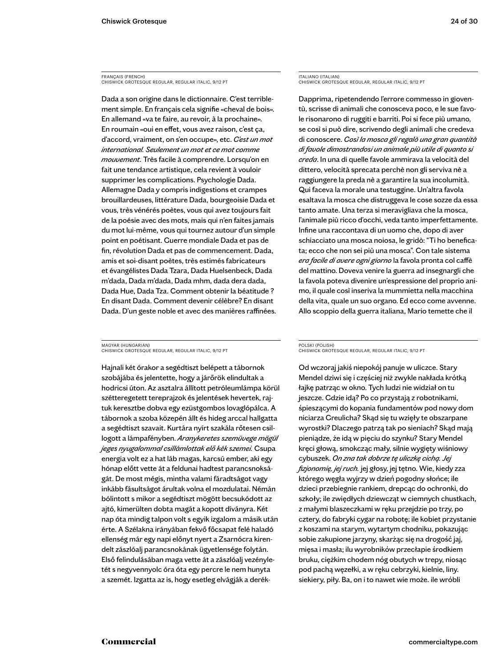FRANÇAIS (FRENCH) CHISWICK GROTESQUE REGULAR, REGULAR ITALIC, 9/12 PT

Dada a son origine dans le dictionnaire. C'est terriblement simple. En français cela signifie «cheval de bois». En allemand «va te faire, au revoir, à la prochaine». En roumain «oui en effet, vous avez raison, c'est ça, d'accord, vraiment, on s'en occupe», etc. *C'est un mot international. Seulement un mot et ce mot comme mouvement.* Très facile à comprendre. Lorsqu'on en fait une tendance artistique, cela revient à vouloir supprimer les complications. Psychologie Dada. Allemagne Dada y compris indigestions et crampes brouillardeuses, littérature Dada, bourgeoisie Dada et vous, très vénérés poètes, vous qui avez toujours fait de la poésie avec des mots, mais qui n'en faites jamais du mot lui-même, vous qui tournez autour d'un simple point en poétisant. Guerre mondiale Dada et pas de fin, révolution Dada et pas de commencement. Dada, amis et soi-disant poètes, très estimés fabricateurs et évangélistes Dada Tzara, Dada Huelsenbeck, Dada m'dada, Dada m'dada, Dada mhm, dada dera dada, Dada Hue, Dada Tza. Comment obtenir la béatitude ? En disant Dada. Comment devenir célèbre? En disant Dada. D'un geste noble et avec des manières raffinées.

MAGYAR (HUNGARIAN) CHISWICK GROTESQUE REGULAR, REGULAR ITALIC, 9/12 PT

Hajnali két órakor a segédtiszt belépett a tábornok szobájába és jelentette, hogy a járőrök elindultak a hodricsi úton. Az asztalra állított petróleumlámpa körül szétteregetett tereprajzok és jelentések hevertek, rajtuk keresztbe dobva egy ezüstgombos lovaglópálca. A tábornok a szoba közepén állt és hideg arccal hallgatta a segédtiszt szavait. Kurtára nyírt szakála rőtesen csillogott a lámpafényben. *Aranykeretes szemüvege mögül jeges nyugalommal csillámlottak elő kék szemei.* Csupa energia volt ez a hat láb magas, karcsú ember, aki egy hónap előtt vette át a feldunai hadtest parancsnokságát. De most mégis, mintha valami fáradtságot vagy inkább fásultságot árultak volna el mozdulatai. Némán bólintott s mikor a segédtiszt mögött becsukódott az ajtó, kimerülten dobta magát a kopott díványra. Két nap óta mindig talpon volt s egyik izgalom a másik után érte. A Szélakna irányában fekvő főcsapat felé haladó ellenség már egy napi előnyt nyert a Zsarnócra kirendelt zászlóalj parancsnokának ügyetlensége folytán. Első felindulásában maga vette át a zászlóalj vezényletét s negyvennyolc óra óta egy percre le nem hunyta a szemét. Izgatta az is, hogy esetleg elvágják a derékITALIANO (ITALIAN) CHISWICK GROTESQUE REGULAR, REGULAR ITALIC, 9/12 PT

Dapprima, ripetendendo l'errore commesso in gioventù, scrisse di animali che conosceva poco, e le sue favole risonarono di ruggiti e barriti. Poi si fece più umano, se così si può dire, scrivendo degli animali che credeva di conoscere. *Così la mosca gli regalò una gran quantità di favole dimostrandosi un animale più utile di quanto si creda*. In una di quelle favole ammirava la velocità del dittero, velocità sprecata perchè non gli serviva nè a raggiungere la preda nè a garantire la sua incolumità. Qui faceva la morale una testuggine. Un'altra favola esaltava la mosca che distruggeva le cose sozze da essa tanto amate. Una terza si meravigliava che la mosca, l'animale più ricco d'occhi, veda tanto imperfettamente. Infine una raccontava di un uomo che, dopo di aver schiacciato una mosca noiosa, le gridò: "Ti ho beneficata; ecco che non sei più una mosca". Con tale sistema *era facile di avere ogni giorno* la favola pronta col caffè del mattino. Doveva venire la guerra ad insegnargli che la favola poteva divenire un'espressione del proprio animo, il quale così inseriva la mummietta nella macchina della vita, quale un suo organo. Ed ecco come avvenne. Allo scoppio della guerra italiana, Mario temette che il

### POLSKI (POLISH) CHISWICK GROTESQUE REGULAR, REGULAR ITALIC, 9/12 PT

Od wczoraj jakiś niepokój panuje w uliczce. Stary Mendel dziwi się i częściej niż zwykle nakłada krótką łajkę patrząc w okno. Tych ludzi nie widział on tu jeszcze. Gdzie idą? Po co przystają z robotnikami, śpieszącymi do kopania fundamentów pod nowy dom niciarza Greulicha? Skąd się tu wzięły te obszarpane wyrostki? Dlaczego patrzą tak po sieniach? Skąd mają pieniądze, że idą w pięciu do szynku? Stary Mendel kręci głową, smokcząc mały, silnie wygięty wiśniowy cybuszek. *On zna tak dobrze tę uliczkę cichą. Jej fizjonomię, jej ruch.* jej głosy, jej tętno. Wie, kiedy zza którego węgła wyjrzy w dzień pogodny słońce; ile dzieci przebiegnie rankiem, drepcąc do ochronki, do szkoły; ile zwiędłych dziewcząt w ciemnych chustkach, z małymi blaszeczkami w ręku przejdzie po trzy, po cztery, do fabryki cygar na robotę; ile kobiet przystanie z koszami na starym, wytartym chodniku, pokazując sobie zakupione jarzyny, skarżąc się na drogość jaj, mięsa i masła; ilu wyrobników przecłapie środkiem bruku, ciężkim chodem nóg obutych w trepy, niosąc pod pachą węzełki, a w ręku cebrzyki, kielnie, liny. siekiery, piły. Ba, on i to nawet wie może. ile wróbli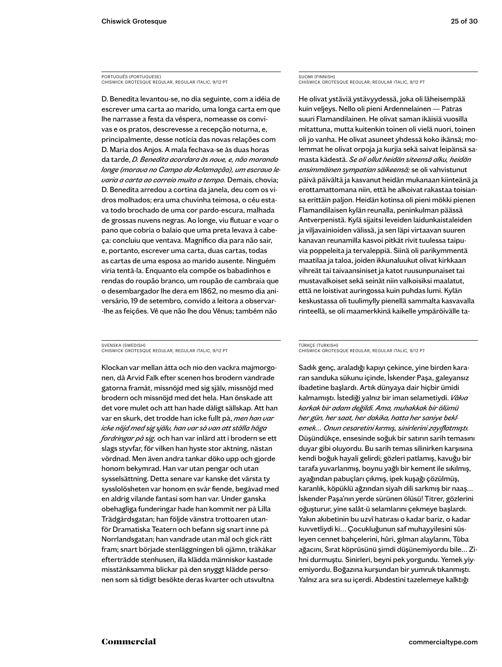PORTUGUÊS (PORTUGUESE) CHISWICK GROTESQUE REGULAR, REGULAR ITALIC, 9/12 PT

D. Benedita levantou-se, no dia seguinte, com a idéia de escrever uma carta ao marido, uma longa carta em que lhe narrasse a festa da véspera, nomeasse os convivas e os pratos, descrevesse a recepção noturna, e, principalmente, desse notícia das novas relações com D. Maria dos Anjos. A mala fechava-se às duas horas da tarde, *D. Benedita acordara às nove, e, não morando longe (morava no Campo da Aclamação), um escravo levaria a carta ao correio muito a tempo.* Demais, chovia; D. Benedita arredou a cortina da janela, deu com os vidros molhados; era uma chuvinha teimosa, o céu estava todo brochado de uma cor pardo-escura, malhada de grossas nuvens negras. Ao longe, viu flutuar e voar o pano que cobria o balaio que uma preta levava à cabeça: concluiu que ventava. Magnífico dia para não sair, e, portanto, escrever uma carta, duas cartas, todas as cartas de uma esposa ao marido ausente. Ninguém viria tentá-la. Enquanto ela compõe os babadinhos e rendas do roupão branco, um roupão de cambraia que o desembargador lhe dera em 1862, no mesmo dia aniversário, 19 de setembro, convido a leitora a observar- -lhe as feições. Vê que não lhe dou Vênus; também não

### SVENSKA (SWEDISH) CHISWICK GROTESQUE REGULAR, REGULAR ITALIC, 9/12 PT

Klockan var mellan åtta och nio den vackra majmorgonen, då Arvid Falk efter scenen hos brodern vandrade gatorna framåt, missnöjd med sig själv, missnöjd med brodern och missnöjd med det hela. Han önskade att det vore mulet och att han hade dåligt sällskap. Att han var en skurk, det trodde han icke fullt på, *men han var icke nöjd med sig själv, han var så van att ställa höga fordringar på sig,* och han var inlärd att i brodern se ett slags styvfar, för vilken han hyste stor aktning, nästan vördnad. Men även andra tankar döko upp och gjorde honom bekymrad. Han var utan pengar och utan sysselsättning. Detta senare var kanske det värsta ty sysslolösheten var honom en svår fiende, begåvad med en aldrig vilande fantasi som han var. Under ganska obehagliga funderingar hade han kommit ner på Lilla Trädgårdsgatan; han följde vänstra trottoaren utanför Dramatiska Teatern och befann sig snart inne på Norrlandsgatan; han vandrade utan mål och gick rätt fram; snart började stenläggningen bli ojämn, träkåkar efterträdde stenhusen, illa klädda människor kastade misstänksamma blickar på den snyggt klädde personen som så tidigt besökte deras kvarter och utsvultna

### SUOMI (FINNISH) CHISWICK GROTESQUE REGULAR, REGULAR ITALIC, 9/12 PT

He olivat ystäviä ystävyydessä, joka oli läheisempää kuin veljeys. Nello oli pieni Ardennelainen — Patras suuri Flamandilainen. He olivat saman ikäisiä vuosilla mitattuna, mutta kuitenkin toinen oli vielä nuori, toinen oli jo vanha. He olivat asuneet yhdessä koko ikänsä; molemmat he olivat orpoja ja kurjia sekä saivat leipänsä samasta kädestä. *Se oli ollut heidän siteensä alku, heidän ensimmäinen sympatian säikeensä;* se oli vahvistunut päivä päivältä ja kasvanut heidän mukanaan kiinteänä ja erottamattomana niin, että he alkoivat rakastaa toisiansa erittäin paljon. Heidän kotinsa oli pieni mökki pienen Flamandilaisen kylän reunalla, peninkulman päässä Antverpenistä. Kylä sijaitsi leveiden laidunkaistaleiden ja viljavainioiden välissä, ja sen läpi virtaavan suuren kanavan reunamilla kasvoi pitkät rivit tuulessa taipuvia poppeleita ja tervaleppiä. Siinä oli parikymmentä maatilaa ja taloa, joiden ikkunaluukut olivat kirkkaan vihreät tai taivaansiniset ja katot ruusunpunaiset tai mustavalkoiset sekä seinät niin valkoisiksi maalatut, että ne loistivat auringossa kuin puhdas lumi. Kylän keskustassa oli tuulimylly pienellä sammalta kasvavalla rinteellä, se oli maamerkkinä kaikelle ympäröivälle ta-

### TÜRKÇE (TURKISH) CHISWICK GROTESQUE REGULAR, REGULAR ITALIC, 9/12 PT

Sadık genç, araladığı kapıyı çekince, yine birden kararan sanduka sükunu içinde, İskender Paşa, galeyansız ibadetine başlardı. Artık dünyaya dair hiçbir ümidi kalmamıştı. İstediği yalnız bir iman selametiydi. *Vâkıa korkak bir adam değildi. Ama, muhakkak bir ölümü her gün, her saat, her dakika, hatta her saniye beklemek… Onun cesaretini kırmış, sinirlerini zayıflatmıştı.* Düşündükçe, ensesinde soğuk bir satırın sarih temasını duyar gibi oluyordu. Bu sarih temas silinirken karşısına kendi boğuk hayali gelirdi; gözleri patlamış, kavuğu bir tarafa yuvarlanmış, boynu yağlı bir kement ile sıkılmış, ayağından pabuçları çıkmış, ipek kuşağı çözülmüş, karanlık, köpüklü ağzından siyah dili sarkmış bir naaş… İskender Paşa'nın yerde sürünen ölüsü! Titrer, gözlerini oğuşturur, yine salât-ü selamlarını çekmeye başlardı. Yakın akıbetinin bu uzvî hatırası o kadar bariz, o kadar kuvvetliydi ki… Çocukluğunun saf muhayyilesini süsleyen cennet bahçelerini, hûri, gılman alaylarını, Tûba ağacını, Sırat köprüsünü şimdi düşünemiyordu bile… Zihni durmuştu. Sinirleri, beyni pek yorgundu. Yemek yiyemiyordu. Boğazına kurşundan bir yumruk tıkanmıştı. Yalnız ara sıra su içerdi. Abdestini tazelemeye kalktığı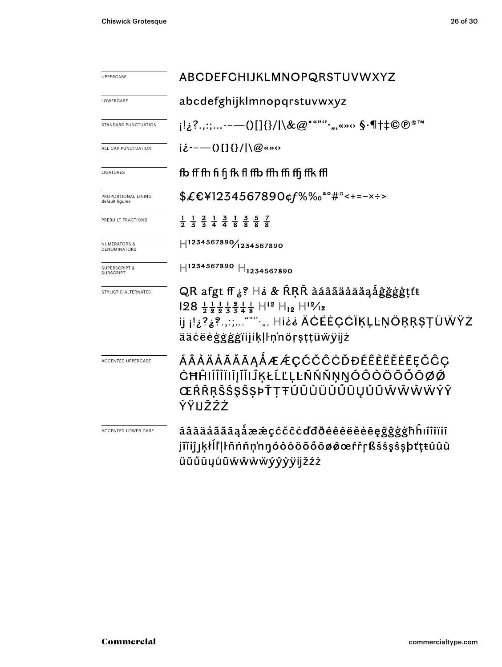| <b>UPPERCASE</b>                            | ABCDEFGHIJKLMNOPQRSTUVWXYZ                                                                                                                                                                                                                                             |  |  |  |  |
|---------------------------------------------|------------------------------------------------------------------------------------------------------------------------------------------------------------------------------------------------------------------------------------------------------------------------|--|--|--|--|
|                                             |                                                                                                                                                                                                                                                                        |  |  |  |  |
| LOWERCASE                                   | abcdefghijklmnopqrstuvwxyz                                                                                                                                                                                                                                             |  |  |  |  |
| STANDARD PUNCTUATION                        | ¡!¿?.,:;-——()[]{}/ \&@*""''·",«»↔ \$•¶†‡©®™                                                                                                                                                                                                                            |  |  |  |  |
| ALL CAP PUNCTUATION                         | $i\dot{\epsilon}$ ---()[]{}/ \@«»<>                                                                                                                                                                                                                                    |  |  |  |  |
| LIGATURES                                   | fb ff fh fi fi fk fl ffb ffh ffi ffi ffk ffl                                                                                                                                                                                                                           |  |  |  |  |
| PROPORTIONAL LINING<br>default figures      | \$£€¥1234567890¢f%‰ <sup>a</sup> °#°<+=-x÷>                                                                                                                                                                                                                            |  |  |  |  |
| PREBUILT FRACTIONS                          | $\frac{1}{2}$ $\frac{1}{3}$ $\frac{2}{3}$ $\frac{1}{4}$ $\frac{3}{4}$ $\frac{1}{8}$ $\frac{3}{8}$ $\frac{5}{8}$ $\frac{7}{8}$                                                                                                                                          |  |  |  |  |
| <b>NUMERATORS &amp;</b><br>DENOMINATORS     | H1234567890/1234567890                                                                                                                                                                                                                                                 |  |  |  |  |
| <b>SUPERSCRIPT &amp;</b><br><b>SUBSCRIP</b> | $\text{H}^{1234567890} \text{H}_{1234567890}$                                                                                                                                                                                                                          |  |  |  |  |
| STYLISTIC ALTERNATES                        | QR afgt ff ¿? Hė & RRŘ àáâãäåāǎąåĝǧġģṭťt<br>$128$ $\frac{1}{2}$ $\frac{1}{9}$ $\frac{1}{8}$ $\frac{1}{8}$ $\frac{1}{4}$ $\frac{1}{8}$ $H^{12}$ $H_{12}$ $H^{12}/_{12}$<br>ij <sub>ij</sub> ŀ¿?¿?.,:;"""·", Hi¿¿ ÄĊËĖÇĊĨĶĻĿŅÖŖŖŞŢÜŴŸŻ<br>ääċëėģġģġïijiķļŀņ'nöŗșţţüẅÿijż |  |  |  |  |
| ACCENTED UPPERCASE                          | ÁÂÀÄÅÃĂĀĄÅÆÆÇĆČĈĊĎĐÉÊÈËĔĖĒĘČĈÇ<br>ĊĦĤIÍĨĬĬĨĨĬĨĬĴĶŁĹĽĻĿÑŃŇŅŊÓÔŎŎŐŎŌØØ<br>ŒŔŘŖŠŚŞŜŞÞŤŢŦÚÛÙÜŬŰŪŲŮŨŴŴŴŴÝŶ<br>ŶŸIJŽŹŻ                                                                                                                                                       |  |  |  |  |
| ACCENTED LOWER CASE                         | áâàäåãăāąåææçćčĉċďđðéêèëĕėēęğĝģģħĥıíîìïiī<br>jĩĭiĵjķłĺľḷŀñńňṇ'nŋóôòöõőōøǿœŕřṛßšśşŝşþťṭŧúûù<br>üŭűūųůũẃŵẁẅýŷỳÿijžźż                                                                                                                                                     |  |  |  |  |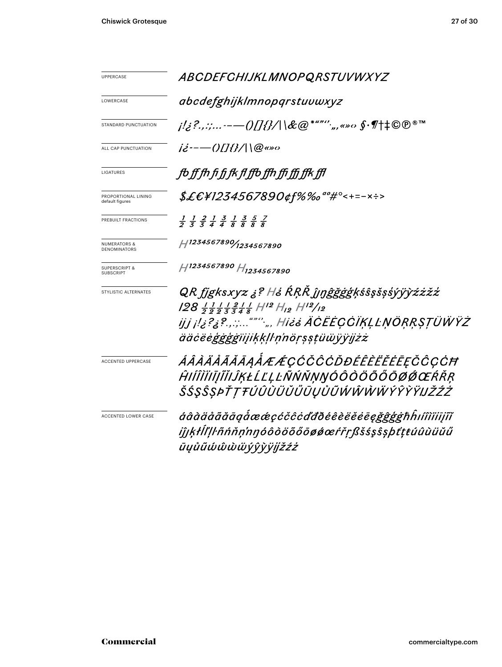| UPPERCASE                                      | <b>ABCDEFCHIJKLMNOPQRSTUVWXYZ</b>                                                                                             |  |  |  |
|------------------------------------------------|-------------------------------------------------------------------------------------------------------------------------------|--|--|--|
| LOWERCASE                                      | abcdefghijklmnopqrstuvwxyz                                                                                                    |  |  |  |
| STANDARD PUNCTUATION                           | <i>;!¿?.,:;-—()[]{}/\\&amp;@*""''<sub>`</sub>,,«»</i> ω \$·¶†‡©®®™                                                            |  |  |  |
| ALL CAP PUNCTUATION                            | $i\dot{z}$ ----()[]{}/\\@«»0                                                                                                  |  |  |  |
| LIGATURES                                      | fo ff fh fi fi fk fl ffo ffh ffi ffi ffk ffl                                                                                  |  |  |  |
| PROPORTIONAL LINING<br>default figures         | \$£€¥1234567890¢f%‰"°#°<+=-×÷>                                                                                                |  |  |  |
| PREBUILT FRACTIONS                             | $\frac{1}{2}$ $\frac{1}{3}$ $\frac{2}{4}$ $\frac{1}{4}$ $\frac{3}{8}$ $\frac{1}{8}$ $\frac{3}{8}$ $\frac{5}{8}$ $\frac{7}{8}$ |  |  |  |
| <b>NUMERATORS &amp;</b><br><b>DENOMINATORS</b> | 1234567890/1234567890                                                                                                         |  |  |  |
| <b>SUPERSCRIPT &amp;</b><br><b>SUBSCRIPT</b>   | H1234567890 H <sub>1234567890</sub>                                                                                           |  |  |  |
| STYLISTIC ALTERNATES                           | QR fjgksxyz ¿? H¿ ŔŖŘ ĵjŋĝğġģķśŝşšşśýÿỳźżžź                                                                                   |  |  |  |
|                                                |                                                                                                                               |  |  |  |
|                                                | ijj <sub>ij</sub> i!¿?¿?;"" <sup>.</sup> ",,, Hi¿¿ ÄĊËĖÇĊĬĶĻĿŅÖŖŖSŢÜŴŸŻ<br>ääċëėģġģġïijiķķļŀņ'nöŗṣṣṭüẅÿÿijżż                  |  |  |  |
| ACCENTED UPPERCASE                             | ÁÂÀÄÅÃĂĀĄÅÆÆÇĆČĈÓĎĐÉÊÈĔĔĔĘČĈÇĆĦ                                                                                               |  |  |  |
|                                                | ĤIÍÎÌĬIĨĬĬIJĶŁĹĽĻĿÑŃŇŅŊÓÔŎŎŐŎŌØŔŒŔŘŖ                                                                                          |  |  |  |
|                                                | ŠŚŞŜŞÞŤŢŦÚÛÙÜŬŰŨŲŮŨŴŴŴŴŶŶŶŸIJŽŹŻ                                                                                              |  |  |  |
| <b>ACCENTED LOWER CASE</b>                     | áâàäåããāāg圜çćčĉċďđðéêèëĕēeğĝģģħĥıíîìïiijĩĭ                                                                                    |  |  |  |
|                                                | iĵjķłll'ļŀñńňņ'nŋóôòöõőōøǿœŕřṛßšśşŝşþťṭŧúûùüŭű                                                                                |  |  |  |
|                                                | ūyůũώŵὼẅýŷỳÿjjžźż                                                                                                             |  |  |  |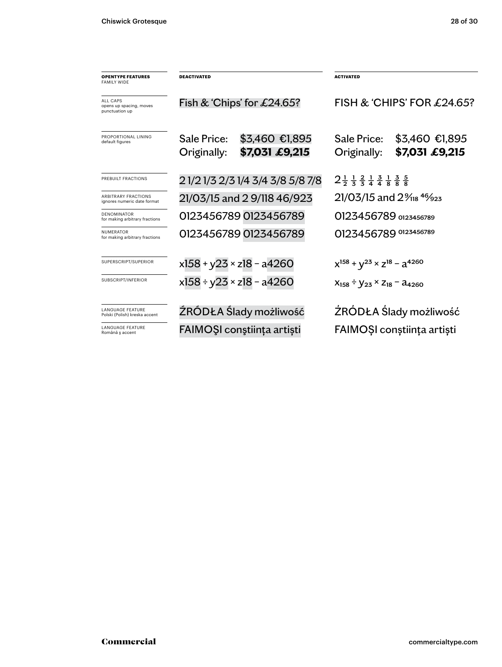| <b>OPENTYPE FEATURES</b><br><b>FAMILY WIDE</b>               | <b>DEACTIVATED</b><br>Fish & 'Chips' for $£24.65$ ? |                                    | <b>ACTIVATED</b><br>FISH & 'CHIPS' FOR $£24.65$ ?                                                  |                                  |
|--------------------------------------------------------------|-----------------------------------------------------|------------------------------------|----------------------------------------------------------------------------------------------------|----------------------------------|
| <b>ALL CAPS</b><br>opens up spacing, moves<br>punctuation up |                                                     |                                    |                                                                                                    |                                  |
| PROPORTIONAL LINING<br>default figures                       | Sale Price:<br>Originally:                          | \$3,460 €1,895<br>\$7,031 £9,215   | Sale Price:<br>Originally:                                                                         | \$3,460 €1,895<br>\$7,031 £9,215 |
| PREBUILT FRACTIONS                                           | 2 1/2 1/3 2/3 1/4 3/4 3/8 5/8 7/8                   |                                    | $2\frac{1}{2}$ $\frac{1}{3}$ $\frac{2}{4}$ $\frac{1}{4}$ $\frac{3}{8}$ $\frac{1}{8}$ $\frac{3}{8}$ |                                  |
| <b>ARBITRARY FRACTIONS</b><br>ignores numeric date format    | 21/03/15 and 2 9/118 46/923                         |                                    | $21/03/15$ and $2\%$ <sub>18</sub> $4\%$ <sub>23</sub>                                             |                                  |
| <b>DENOMINATOR</b><br>for making arbitrary fractions         | 0123456789 0123456789                               |                                    | O123456789 0123456789                                                                              |                                  |
| <b>NUMFRATOR</b><br>for making arbitrary fractions           |                                                     | 0123456789 0123456789              | 0123456789 0123456789                                                                              |                                  |
| SUPERSCRIPT/SUPERIOR                                         | $x158 + y23 \times z18 - a4260$                     |                                    | $x^{158} + y^{23} \times z^{18} - a^{4260}$                                                        |                                  |
| SUBSCRIPT/INFERIOR                                           |                                                     | $x158 \div y23 \times z18 - a4260$ | $X_{158} - Y_{23} \times Z_{18} - Z_{4260}$                                                        |                                  |
| <b>LANGUAGE FEATURE</b><br>Polski (Polish) kreska accent     | ŹRÓDŁA Ślady możliwość                              |                                    | ŹRÓDŁA Ślady możliwość                                                                             |                                  |
| <b>LANGUAGE FEATURE</b><br>Română ș accent                   |                                                     | FAIMOȘI conștiința artiști         | FAIMOȘI conștiința artiști                                                                         |                                  |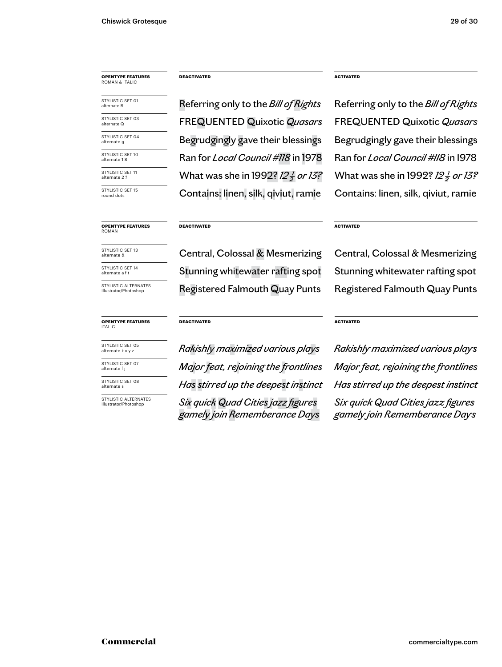### **OPENTYPE FEATURES** ROMAN & ITALIC

STYLISTIC SET 04 alternate g STYLISTIC SFT 10 alternate 1 8 STYLISTIC SET 01 STYLISTIC SET 03

STYLISTIC SET 11 alternate 2 ?

STYLISTIC SET 15 round dots

### **DEACTIVATED**

Referring only to the *Bill of Rights* Referring only to the *Bill of Rights* Begrudgingly gave their blessings Begrudgingly gave their blessings Ran for *Local Council #118* in 1978 Ran for *Local Council #118* in 1978 What was she in 1992? *12<sup>1</sup>/<sub>2</sub> or 13?* Contains: linen, silk, qiviut, ramie Contains: linen, silk, qiviut, ramie alternate Q FREQUENTED Quixotic *Quasars* FREQUENTED Quixotic *Quasars*

### **ACTIVATED**

What was she in 1992? *12<sup>1</sup> or 13?* 

### **OPENTYPE FEATURES** ROMAN

STYLISTIC SET 13 alternate &

STYLISTIC SET 14 alternate a f t

STYLISTIC ALTERNATES Illustrator/Photoshop

### **OPENTYPE FEATURES** ITALIC

STYLISTIC SET 05 alternate k x y z STYLISTIC SET 07

alternate f j STYLISTIC SET 08

alternate s

STYLISTIC ALTERNATES<br>Illustrator/Photoshop

Registered Falmouth Quay Punts Registered Falmouth Quay Punts Central, Colossal & Mesmerizing Central, Colossal & Mesmerizing Stunning whitewater rafting spot Stunning whitewater rafting spot

**ACTIVATED**

### **DEACTIVATED**

**DEACTIVATED**

 $S$ *ix quick Quad Cities jazz figures gamely join Rememberance Days*

### **ACTIVATED**

*Rakishly maximized various plays Rakishly maximized various plays Major feat, rejoining the frontlines Major feat, rejoining the frontlines Has stirred up the deepest instinct Has stirred up the deepest instinct*

> *Six quick Quad Cities jazz figures gamely join Rememberance Days*